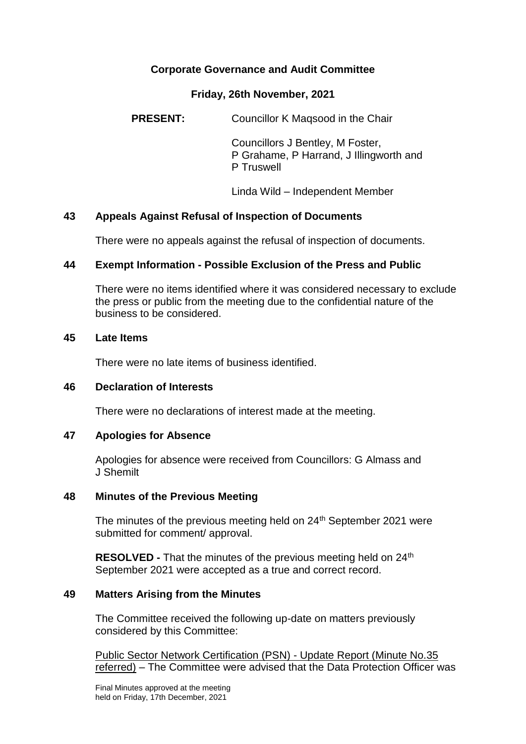# **Corporate Governance and Audit Committee**

#### **Friday, 26th November, 2021**

**PRESENT:** Councillor K Magsood in the Chair

Councillors J Bentley, M Foster, P Grahame, P Harrand, J Illingworth and P Truswell

Linda Wild – Independent Member

## **43 Appeals Against Refusal of Inspection of Documents**

There were no appeals against the refusal of inspection of documents.

## **44 Exempt Information - Possible Exclusion of the Press and Public**

There were no items identified where it was considered necessary to exclude the press or public from the meeting due to the confidential nature of the business to be considered.

#### **45 Late Items**

There were no late items of business identified.

## **46 Declaration of Interests**

There were no declarations of interest made at the meeting.

## **47 Apologies for Absence**

Apologies for absence were received from Councillors: G Almass and J Shemilt

#### **48 Minutes of the Previous Meeting**

The minutes of the previous meeting held on 24<sup>th</sup> September 2021 were submitted for comment/ approval.

**RESOLVED -** That the minutes of the previous meeting held on 24<sup>th</sup> September 2021 were accepted as a true and correct record.

## **49 Matters Arising from the Minutes**

The Committee received the following up-date on matters previously considered by this Committee:

Public Sector Network Certification (PSN) - Update Report (Minute No.35 referred) – The Committee were advised that the Data Protection Officer was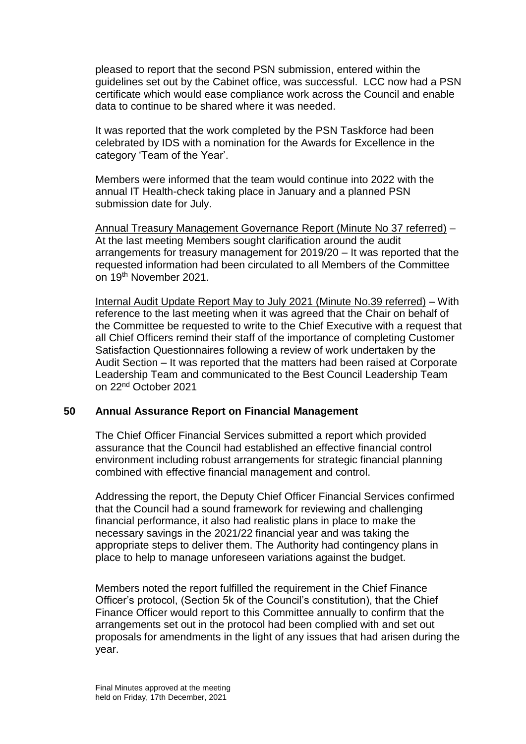pleased to report that the second PSN submission, entered within the guidelines set out by the Cabinet office, was successful. LCC now had a PSN certificate which would ease compliance work across the Council and enable data to continue to be shared where it was needed.

It was reported that the work completed by the PSN Taskforce had been celebrated by IDS with a nomination for the Awards for Excellence in the category 'Team of the Year'.

Members were informed that the team would continue into 2022 with the annual IT Health-check taking place in January and a planned PSN submission date for July.

Annual Treasury Management Governance Report (Minute No 37 referred) – At the last meeting Members sought clarification around the audit arrangements for treasury management for 2019/20 – It was reported that the requested information had been circulated to all Members of the Committee on 19th November 2021.

Internal Audit Update Report May to July 2021 (Minute No.39 referred) – With reference to the last meeting when it was agreed that the Chair on behalf of the Committee be requested to write to the Chief Executive with a request that all Chief Officers remind their staff of the importance of completing Customer Satisfaction Questionnaires following a review of work undertaken by the Audit Section – It was reported that the matters had been raised at Corporate Leadership Team and communicated to the Best Council Leadership Team on 22nd October 2021

#### **50 Annual Assurance Report on Financial Management**

The Chief Officer Financial Services submitted a report which provided assurance that the Council had established an effective financial control environment including robust arrangements for strategic financial planning combined with effective financial management and control.

Addressing the report, the Deputy Chief Officer Financial Services confirmed that the Council had a sound framework for reviewing and challenging financial performance, it also had realistic plans in place to make the necessary savings in the 2021/22 financial year and was taking the appropriate steps to deliver them. The Authority had contingency plans in place to help to manage unforeseen variations against the budget.

Members noted the report fulfilled the requirement in the Chief Finance Officer's protocol, (Section 5k of the Council's constitution), that the Chief Finance Officer would report to this Committee annually to confirm that the arrangements set out in the protocol had been complied with and set out proposals for amendments in the light of any issues that had arisen during the year.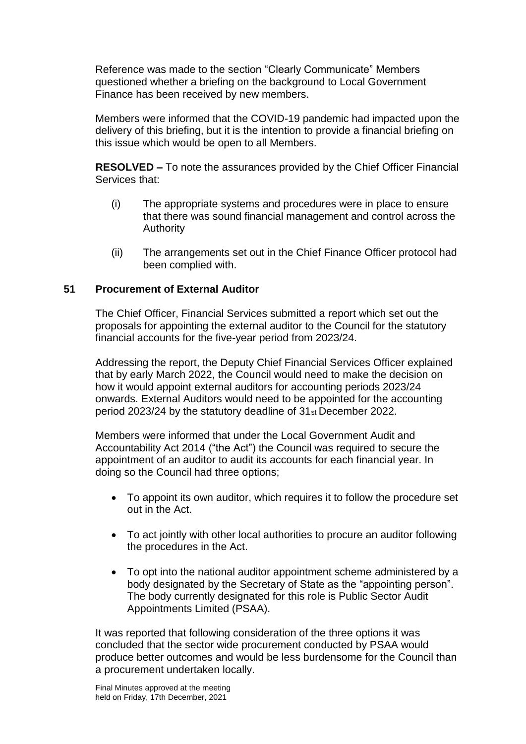Reference was made to the section "Clearly Communicate" Members questioned whether a briefing on the background to Local Government Finance has been received by new members.

Members were informed that the COVID-19 pandemic had impacted upon the delivery of this briefing, but it is the intention to provide a financial briefing on this issue which would be open to all Members.

**RESOLVED –** To note the assurances provided by the Chief Officer Financial Services that:

- (i) The appropriate systems and procedures were in place to ensure that there was sound financial management and control across the Authority
- (ii) The arrangements set out in the Chief Finance Officer protocol had been complied with.

## **51 Procurement of External Auditor**

The Chief Officer, Financial Services submitted a report which set out the proposals for appointing the external auditor to the Council for the statutory financial accounts for the five-year period from 2023/24.

Addressing the report, the Deputy Chief Financial Services Officer explained that by early March 2022, the Council would need to make the decision on how it would appoint external auditors for accounting periods 2023/24 onwards. External Auditors would need to be appointed for the accounting period 2023/24 by the statutory deadline of 31st December 2022.

Members were informed that under the Local Government Audit and Accountability Act 2014 ("the Act") the Council was required to secure the appointment of an auditor to audit its accounts for each financial year. In doing so the Council had three options;

- To appoint its own auditor, which requires it to follow the procedure set out in the Act.
- To act jointly with other local authorities to procure an auditor following the procedures in the Act.
- To opt into the national auditor appointment scheme administered by a body designated by the Secretary of State as the "appointing person". The body currently designated for this role is Public Sector Audit Appointments Limited (PSAA).

It was reported that following consideration of the three options it was concluded that the sector wide procurement conducted by PSAA would produce better outcomes and would be less burdensome for the Council than a procurement undertaken locally.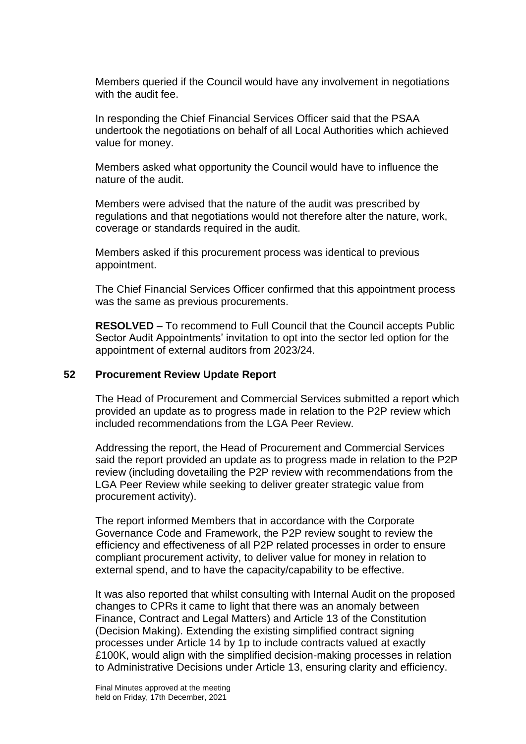Members queried if the Council would have any involvement in negotiations with the audit fee.

In responding the Chief Financial Services Officer said that the PSAA undertook the negotiations on behalf of all Local Authorities which achieved value for money.

Members asked what opportunity the Council would have to influence the nature of the audit.

Members were advised that the nature of the audit was prescribed by regulations and that negotiations would not therefore alter the nature, work, coverage or standards required in the audit.

Members asked if this procurement process was identical to previous appointment.

The Chief Financial Services Officer confirmed that this appointment process was the same as previous procurements.

**RESOLVED** – To recommend to Full Council that the Council accepts Public Sector Audit Appointments' invitation to opt into the sector led option for the appointment of external auditors from 2023/24.

#### **52 Procurement Review Update Report**

The Head of Procurement and Commercial Services submitted a report which provided an update as to progress made in relation to the P2P review which included recommendations from the LGA Peer Review.

Addressing the report, the Head of Procurement and Commercial Services said the report provided an update as to progress made in relation to the P2P review (including dovetailing the P2P review with recommendations from the LGA Peer Review while seeking to deliver greater strategic value from procurement activity).

The report informed Members that in accordance with the Corporate Governance Code and Framework, the P2P review sought to review the efficiency and effectiveness of all P2P related processes in order to ensure compliant procurement activity, to deliver value for money in relation to external spend, and to have the capacity/capability to be effective.

It was also reported that whilst consulting with Internal Audit on the proposed changes to CPRs it came to light that there was an anomaly between Finance, Contract and Legal Matters) and Article 13 of the Constitution (Decision Making). Extending the existing simplified contract signing processes under Article 14 by 1p to include contracts valued at exactly £100K, would align with the simplified decision-making processes in relation to Administrative Decisions under Article 13, ensuring clarity and efficiency.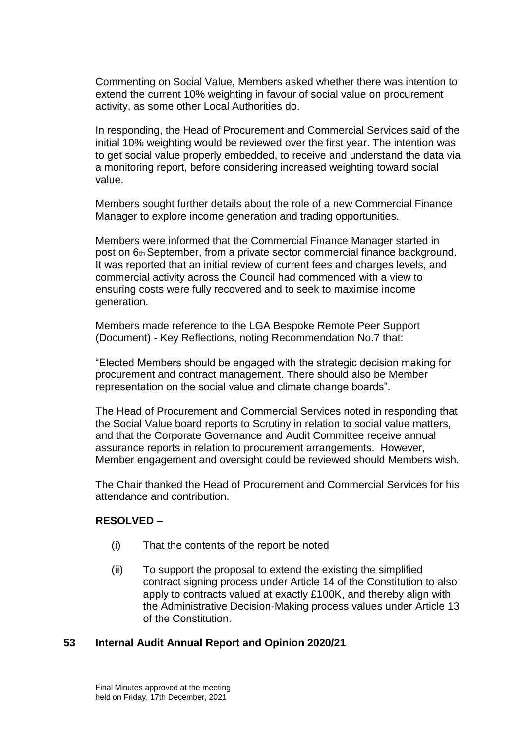Commenting on Social Value, Members asked whether there was intention to extend the current 10% weighting in favour of social value on procurement activity, as some other Local Authorities do.

In responding, the Head of Procurement and Commercial Services said of the initial 10% weighting would be reviewed over the first year. The intention was to get social value properly embedded, to receive and understand the data via a monitoring report, before considering increased weighting toward social value.

Members sought further details about the role of a new Commercial Finance Manager to explore income generation and trading opportunities.

Members were informed that the Commercial Finance Manager started in post on 6th September, from a private sector commercial finance background. It was reported that an initial review of current fees and charges levels, and commercial activity across the Council had commenced with a view to ensuring costs were fully recovered and to seek to maximise income generation.

Members made reference to the LGA Bespoke Remote Peer Support (Document) - Key Reflections, noting Recommendation No.7 that:

"Elected Members should be engaged with the strategic decision making for procurement and contract management. There should also be Member representation on the social value and climate change boards".

The Head of Procurement and Commercial Services noted in responding that the Social Value board reports to Scrutiny in relation to social value matters, and that the Corporate Governance and Audit Committee receive annual assurance reports in relation to procurement arrangements. However, Member engagement and oversight could be reviewed should Members wish.

The Chair thanked the Head of Procurement and Commercial Services for his attendance and contribution.

## **RESOLVED –**

- (i) That the contents of the report be noted
- (ii) To support the proposal to extend the existing the simplified contract signing process under Article 14 of the Constitution to also apply to contracts valued at exactly £100K, and thereby align with the Administrative Decision-Making process values under Article 13 of the Constitution.

#### **53 Internal Audit Annual Report and Opinion 2020/21**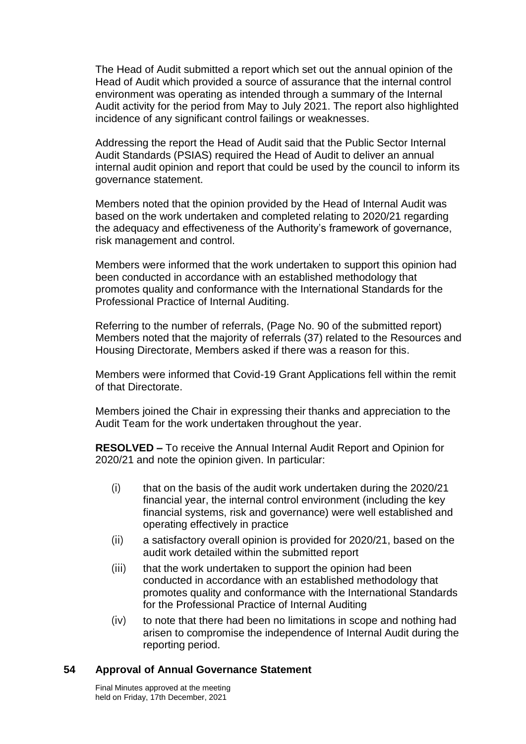The Head of Audit submitted a report which set out the annual opinion of the Head of Audit which provided a source of assurance that the internal control environment was operating as intended through a summary of the Internal Audit activity for the period from May to July 2021. The report also highlighted incidence of any significant control failings or weaknesses.

Addressing the report the Head of Audit said that the Public Sector Internal Audit Standards (PSIAS) required the Head of Audit to deliver an annual internal audit opinion and report that could be used by the council to inform its governance statement.

Members noted that the opinion provided by the Head of Internal Audit was based on the work undertaken and completed relating to 2020/21 regarding the adequacy and effectiveness of the Authority's framework of governance, risk management and control.

Members were informed that the work undertaken to support this opinion had been conducted in accordance with an established methodology that promotes quality and conformance with the International Standards for the Professional Practice of Internal Auditing.

Referring to the number of referrals, (Page No. 90 of the submitted report) Members noted that the majority of referrals (37) related to the Resources and Housing Directorate, Members asked if there was a reason for this.

Members were informed that Covid-19 Grant Applications fell within the remit of that Directorate.

Members joined the Chair in expressing their thanks and appreciation to the Audit Team for the work undertaken throughout the year.

**RESOLVED –** To receive the Annual Internal Audit Report and Opinion for 2020/21 and note the opinion given. In particular:

- (i) that on the basis of the audit work undertaken during the 2020/21 financial year, the internal control environment (including the key financial systems, risk and governance) were well established and operating effectively in practice
- (ii) a satisfactory overall opinion is provided for 2020/21, based on the audit work detailed within the submitted report
- (iii) that the work undertaken to support the opinion had been conducted in accordance with an established methodology that promotes quality and conformance with the International Standards for the Professional Practice of Internal Auditing
- (iv) to note that there had been no limitations in scope and nothing had arisen to compromise the independence of Internal Audit during the reporting period.

## **54 Approval of Annual Governance Statement**

Final Minutes approved at the meeting held on Friday, 17th December, 2021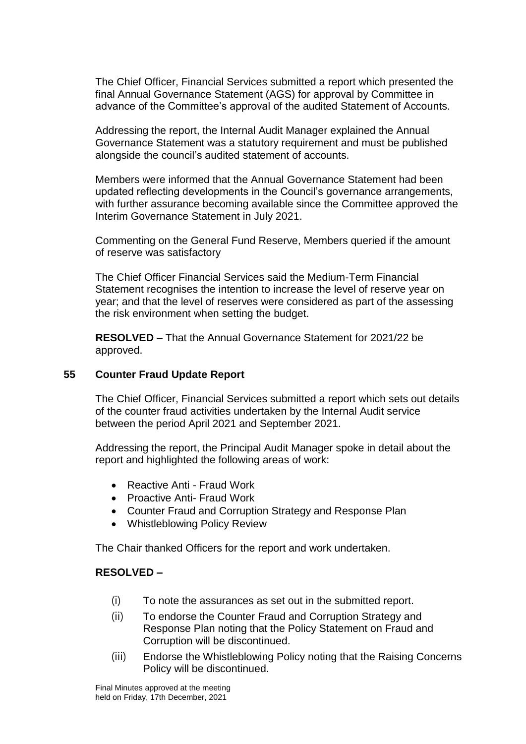The Chief Officer, Financial Services submitted a report which presented the final Annual Governance Statement (AGS) for approval by Committee in advance of the Committee's approval of the audited Statement of Accounts.

Addressing the report, the Internal Audit Manager explained the Annual Governance Statement was a statutory requirement and must be published alongside the council's audited statement of accounts.

Members were informed that the Annual Governance Statement had been updated reflecting developments in the Council's governance arrangements, with further assurance becoming available since the Committee approved the Interim Governance Statement in July 2021.

Commenting on the General Fund Reserve, Members queried if the amount of reserve was satisfactory

The Chief Officer Financial Services said the Medium-Term Financial Statement recognises the intention to increase the level of reserve year on year; and that the level of reserves were considered as part of the assessing the risk environment when setting the budget.

**RESOLVED** – That the Annual Governance Statement for 2021/22 be approved.

## **55 Counter Fraud Update Report**

The Chief Officer, Financial Services submitted a report which sets out details of the counter fraud activities undertaken by the Internal Audit service between the period April 2021 and September 2021.

Addressing the report, the Principal Audit Manager spoke in detail about the report and highlighted the following areas of work:

- Reactive Anti Fraud Work
- Proactive Anti- Fraud Work
- Counter Fraud and Corruption Strategy and Response Plan
- Whistleblowing Policy Review

The Chair thanked Officers for the report and work undertaken.

## **RESOLVED –**

- (i) To note the assurances as set out in the submitted report.
- (ii) To endorse the Counter Fraud and Corruption Strategy and Response Plan noting that the Policy Statement on Fraud and Corruption will be discontinued.
- (iii) Endorse the Whistleblowing Policy noting that the Raising Concerns Policy will be discontinued.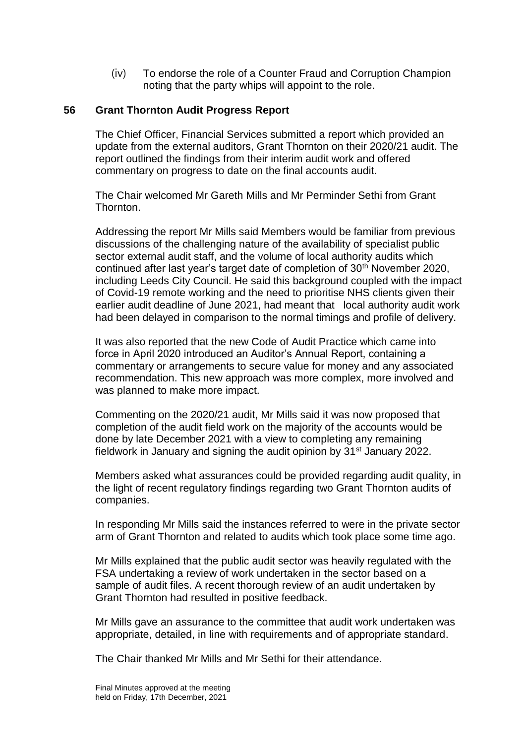(iv) To endorse the role of a Counter Fraud and Corruption Champion noting that the party whips will appoint to the role.

# **56 Grant Thornton Audit Progress Report**

The Chief Officer, Financial Services submitted a report which provided an update from the external auditors, Grant Thornton on their 2020/21 audit. The report outlined the findings from their interim audit work and offered commentary on progress to date on the final accounts audit.

The Chair welcomed Mr Gareth Mills and Mr Perminder Sethi from Grant Thornton.

Addressing the report Mr Mills said Members would be familiar from previous discussions of the challenging nature of the availability of specialist public sector external audit staff, and the volume of local authority audits which continued after last year's target date of completion of 30<sup>th</sup> November 2020, including Leeds City Council. He said this background coupled with the impact of Covid-19 remote working and the need to prioritise NHS clients given their earlier audit deadline of June 2021, had meant that local authority audit work had been delayed in comparison to the normal timings and profile of delivery.

It was also reported that the new Code of Audit Practice which came into force in April 2020 introduced an Auditor's Annual Report, containing a commentary or arrangements to secure value for money and any associated recommendation. This new approach was more complex, more involved and was planned to make more impact.

Commenting on the 2020/21 audit, Mr Mills said it was now proposed that completion of the audit field work on the majority of the accounts would be done by late December 2021 with a view to completing any remaining fieldwork in January and signing the audit opinion by 31st January 2022.

Members asked what assurances could be provided regarding audit quality, in the light of recent regulatory findings regarding two Grant Thornton audits of companies.

In responding Mr Mills said the instances referred to were in the private sector arm of Grant Thornton and related to audits which took place some time ago.

Mr Mills explained that the public audit sector was heavily regulated with the FSA undertaking a review of work undertaken in the sector based on a sample of audit files. A recent thorough review of an audit undertaken by Grant Thornton had resulted in positive feedback.

Mr Mills gave an assurance to the committee that audit work undertaken was appropriate, detailed, in line with requirements and of appropriate standard.

The Chair thanked Mr Mills and Mr Sethi for their attendance.